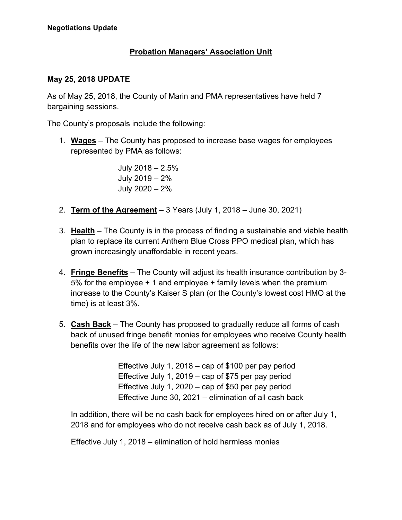## **Probation Managers' Association Unit**

## **May 25, 2018 UPDATE**

As of May 25, 2018, the County of Marin and PMA representatives have held 7 bargaining sessions.

The County's proposals include the following:

1. **Wages** – The County has proposed to increase base wages for employees represented by PMA as follows:

> July 2018 – 2.5% July 2019 – 2% July 2020 – 2%

- 2. **Term of the Agreement** 3 Years (July 1, 2018 June 30, 2021)
- 3. **Health** The County is in the process of finding a sustainable and viable health plan to replace its current Anthem Blue Cross PPO medical plan, which has grown increasingly unaffordable in recent years.
- 4. **Fringe Benefits** The County will adjust its health insurance contribution by 3- 5% for the employee + 1 and employee + family levels when the premium increase to the County's Kaiser S plan (or the County's lowest cost HMO at the time) is at least 3%.
- 5. **Cash Back** The County has proposed to gradually reduce all forms of cash back of unused fringe benefit monies for employees who receive County health benefits over the life of the new labor agreement as follows:

Effective July 1, 2018 – cap of \$100 per pay period Effective July 1, 2019 – cap of \$75 per pay period Effective July 1, 2020 – cap of \$50 per pay period Effective June 30, 2021 – elimination of all cash back

In addition, there will be no cash back for employees hired on or after July 1, 2018 and for employees who do not receive cash back as of July 1, 2018.

Effective July 1, 2018 – elimination of hold harmless monies